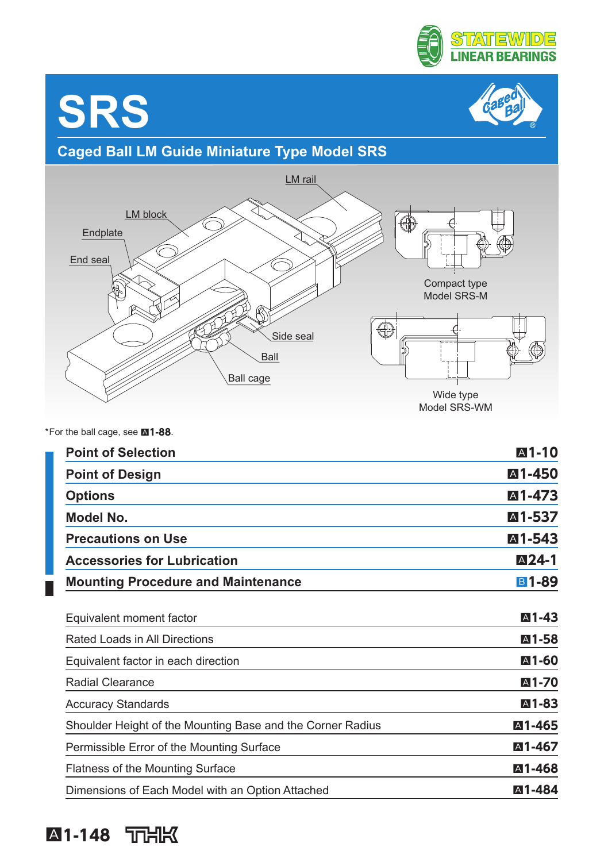

# **SRS**



# **Caged Ball LM Guide Miniature Type Model SRS**



\* For the ball cage, see **A1-88**.

| <b>Point of Selection</b>                                  | A1-10              |
|------------------------------------------------------------|--------------------|
| <b>Point of Design</b>                                     | <b>A1-450</b>      |
| <b>Options</b>                                             | ⊠1-473             |
| Model No.                                                  | ⊠1-537             |
| <b>Precautions on Use</b>                                  | ⊠1-543             |
| <b>Accessories for Lubrication</b>                         | A <sub>24</sub> -1 |
| <b>Mounting Procedure and Maintenance</b>                  | <b>B1-89</b>       |
| Equivalent moment factor                                   | A1-43              |
| Rated Loads in All Directions                              | A1-58              |
| Equivalent factor in each direction                        | ⊠1-60              |
| Radial Clearance                                           | A1-70              |
| <b>Accuracy Standards</b>                                  | <b>A1-83</b>       |
| Shoulder Height of the Mounting Base and the Corner Radius | ⊠1-465             |
| Permissible Error of the Mounting Surface                  | ■1-467             |
| Flatness of the Mounting Surface                           | ⊠1-468             |
| Dimensions of Each Model with an Option Attached           | ⊠1-484             |

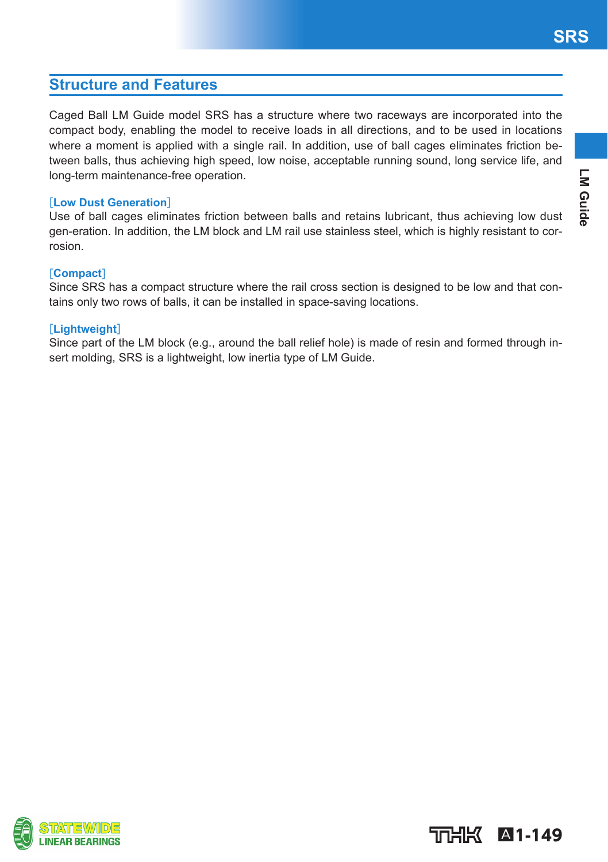**LM Guide** 

# **Structure and Features**

Caged Ball LM Guide model SRS has a structure where two raceways are incorporated into the compact body, enabling the model to receive loads in all directions, and to be used in locations where a moment is applied with a single rail. In addition, use of ball cages eliminates friction between balls, thus achieving high speed, low noise, acceptable running sound, long service life, and long-term maintenance-free operation.

### [**Low Dust Generation**]

Use of ball cages eliminates friction between balls and retains lubricant, thus achieving low dust gen-eration. In addition, the LM block and LM rail use stainless steel, which is highly resistant to corrosion.

### [**Compact**]

Since SRS has a compact structure where the rail cross section is designed to be low and that contains only two rows of balls, it can be installed in space-saving locations.

### [**Lightweight**]

Since part of the LM block (e.g., around the ball relief hole) is made of resin and formed through insert molding, SRS is a lightweight, low inertia type of LM Guide.



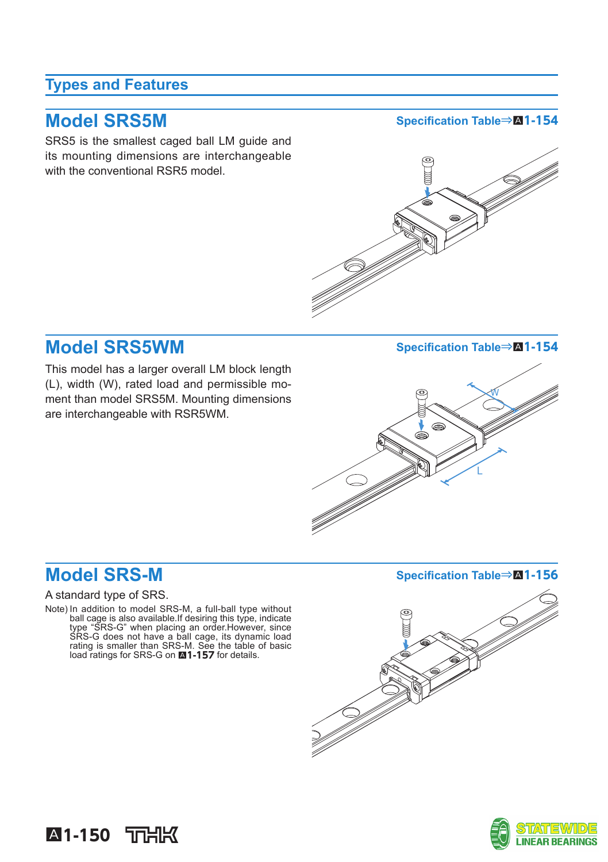# **Types and Features**

SRS5 is the smallest caged ball LM guide and its mounting dimensions are interchangeable with the conventional RSR5 model

### **Model SRS5M Specification Table⇒A1-154**



This model has a larger overall LM block length (L), width (W), rated load and permissible moment than model SRS5M. Mounting dimensions are interchangeable with RSR5WM.





### A standard type of SRS.

Note) In addition to model SRS-M, a full-ball type without ball cage is also available.If desiring this type, indicate type "SRS-G" when placing an order.However, since SRS-G does not have a ball cage, its dynamic load rating is smaller than SRS-M. See the table of basic load ratings for SRS-G on **A[1-157](#page-9-0)** for details.

## **Model SRS-M** Specification Table⇒M1-156





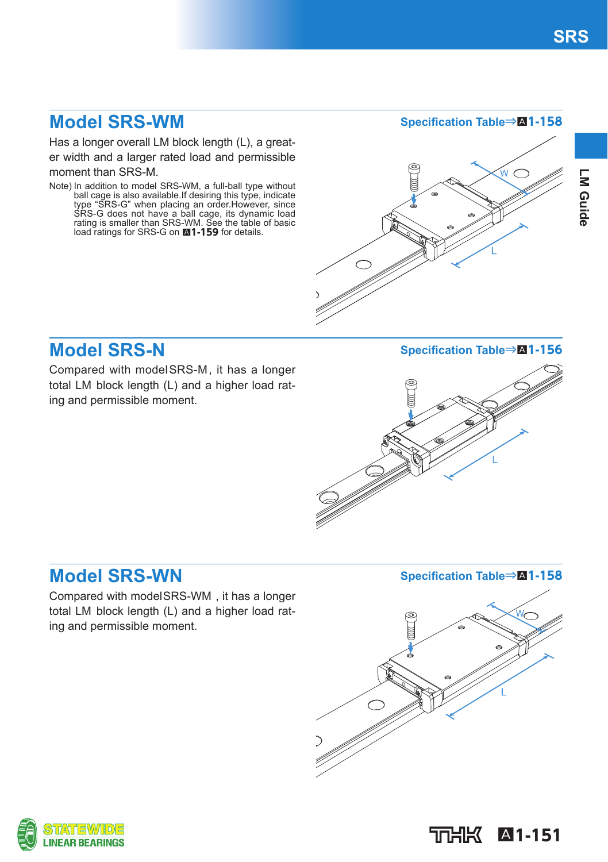Has a longer overall LM block length (L), a greater width and a larger rated load and permissible moment than SRS-M.

Note) In addition to model SRS-WM, a full-ball type without ball cage is also available.If desiring this type, indicate type "SRS-G" when placing an order.However, since SRS-G does not have a ball cage, its dynamic load rating is smaller than SRS-WM. See the table of basic load ratings for SRS-G on A**[1-159](#page-11-0)** for details.



Compared with modelSRS-M, it has a longer total LM block length (L) and a higher load rating and permissible moment.

**Model SRS-N** Specification Table⇒M1-156



# **Model SRS-WN** Specification Table⇒M1-158

Compared with modelSRS-WM , it has a longer total LM block length (L) and a higher load rating and permissible moment.





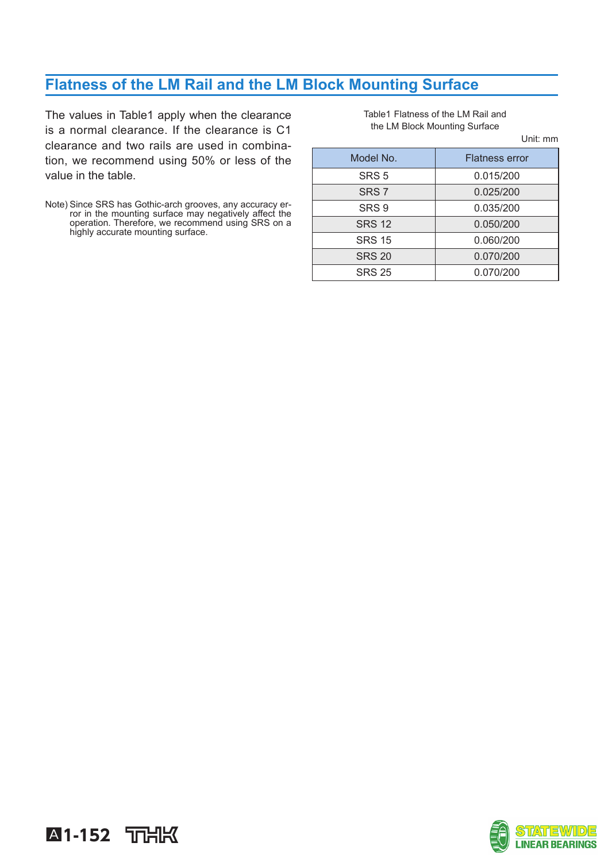# **Flatness of the LM Rail and the LM Block Mounting Surface**

The values in [Table1](#page-4-0) apply when the clearance is a normal clearance. If the clearance is C1 clearance and two rails are used in combination, we recommend using 50% or less of the value in the table.

Note) Since SRS has Gothic-arch grooves, any accuracy error in the mounting surface may negatively affect the operation. Therefore, we recommend using SRS on a highly accurate mounting surface.

Table1 Flatness of the LM Rail and the LM Block Mounting Surface

<span id="page-4-0"></span>Unit: mm

| Model No.        | <b>Flatness error</b> |
|------------------|-----------------------|
| SRS <sub>5</sub> | 0.015/200             |
| SRS <sub>7</sub> | 0.025/200             |
| SRS <sub>9</sub> | 0.035/200             |
| <b>SRS 12</b>    | 0.050/200             |
| <b>SRS 15</b>    | 0.060/200             |
| <b>SRS 20</b>    | 0.070/200             |
| <b>SRS 25</b>    | 0.070/200             |
|                  |                       |



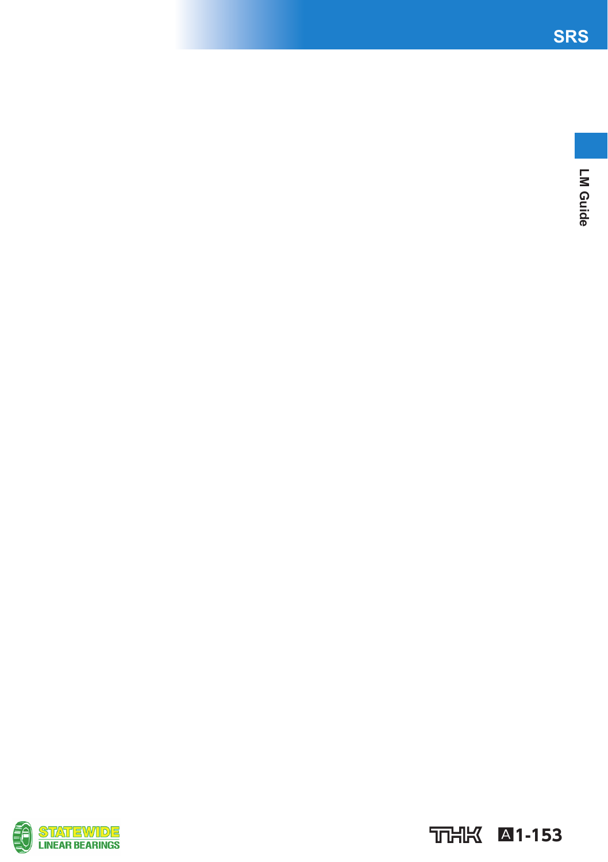LM Guide **LM Guide**



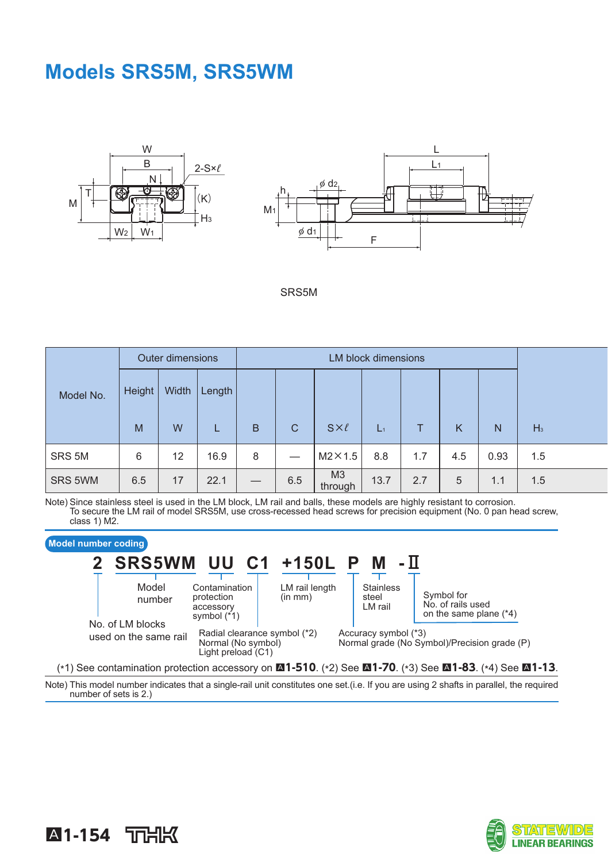# <span id="page-6-0"></span> **Models SRS5M, SRS5WM**



A**1-154**



#### SRS5M

|           |             | <b>Outer dimensions</b> |        |   |              |                           |      |     |     |      |                |  |
|-----------|-------------|-------------------------|--------|---|--------------|---------------------------|------|-----|-----|------|----------------|--|
| Model No. | Height<br>M | Width<br>W              | Length | B | $\mathsf{C}$ | $S \times \ell$           | L.   |     | K   | N    | H <sub>3</sub> |  |
|           |             |                         |        |   |              |                           |      |     |     |      |                |  |
| SRS 5M    | 6           | 12                      | 16.9   | 8 |              | $M2 \times 1.5$           | 8.8  | 1.7 | 4.5 | 0.93 | 1.5            |  |
| SRS 5WM   | 6.5         | 17                      | 22.1   | — | 6.5          | M <sub>3</sub><br>through | 13.7 | 2.7 | 5   | 1.1  | 1.5            |  |

Note) Since stainless steel is used in the LM block, LM rail and balls, these models are highly resistant to corrosion. To secure the LM rail of model SRS5M, use cross-recessed head screws for precision equipment (No. 0 pan head screw, class 1) M2.



Note) This model number indicates that a single-rail unit constitutes one set.(i.e. If you are using 2 shafts in parallel, the required number of sets is 2.)

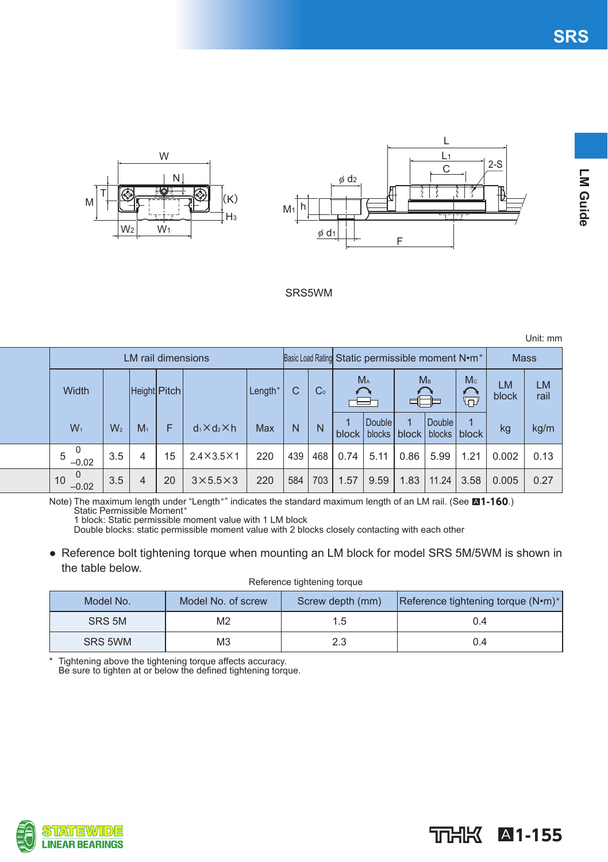**LM Guide** 





#### SRS5WM

Unit: mm

|                    |       | <b>LM</b> rail dimensions |    |                           |            |     | Basic Load Rating Static permissible moment N•m <sup>*</sup> |            |          |      |                                 |                         | <b>Mass</b>        |            |
|--------------------|-------|---------------------------|----|---------------------------|------------|-----|--------------------------------------------------------------|------------|----------|------|---------------------------------|-------------------------|--------------------|------------|
| Width              |       | Height Pitch              |    |                           | Length*    | C   | $C_0$                                                        | $M_A$<br>ਢ |          | 티    | $M_{\rm B}$                     | $M_c$<br>$\Omega$       | <b>LM</b><br>block | LM<br>rail |
| $W_1$              | $W_2$ | M <sub>1</sub>            | F  | $d_1 \times d_2 \times h$ | <b>Max</b> | N   | N                                                            | block      | Double I | 1    | Double I<br>blocks block blocks | $\overline{1}$<br>block | kg                 | kg/m       |
| 5<br>$-0.02$       | 3.5   | 4                         | 15 | $2.4\times3.5\times1$     | 220        | 439 | 468                                                          | 0.74       | 5.11     | 0.86 | 5.99                            | 1.21                    | 0.002              | 0.13       |
| 0<br>10<br>$-0.02$ | 3.5   | 4                         | 20 | $3\times5.5\times3$       | 220        | 584 | 703                                                          | 1.57       | 9.59     | 1.83 | 11.24                           | 3.58                    | 0.005              | 0.27       |

Note) The maximum length under "Length\*" indicates the standard maximum length of an LM rail. (See **M[1-160](#page-12-0)**.)

Static Permissible Moment\*<br>1 block: Static permissible moment value with 1 LM block

Double blocks: static permissible moment value with 2 blocks closely contacting with each other

• Reference bolt tightening torque when mounting an LM block for model SRS 5M/5WM is shown in the table below.

| Model No. | Model No. of screw | Screw depth (mm) | Reference tightening torque (N•m) <sup>*</sup> |
|-----------|--------------------|------------------|------------------------------------------------|
| SRS 5M    | M2                 | 1.5              | 0.4                                            |
| SRS 5WM   | M <sub>3</sub>     | 2.3              | 0.4                                            |

Reference tightening torque

\* Tightening above the tightening torque affects accuracy. Be sure to tighten at or below the defi ned tightening torque.

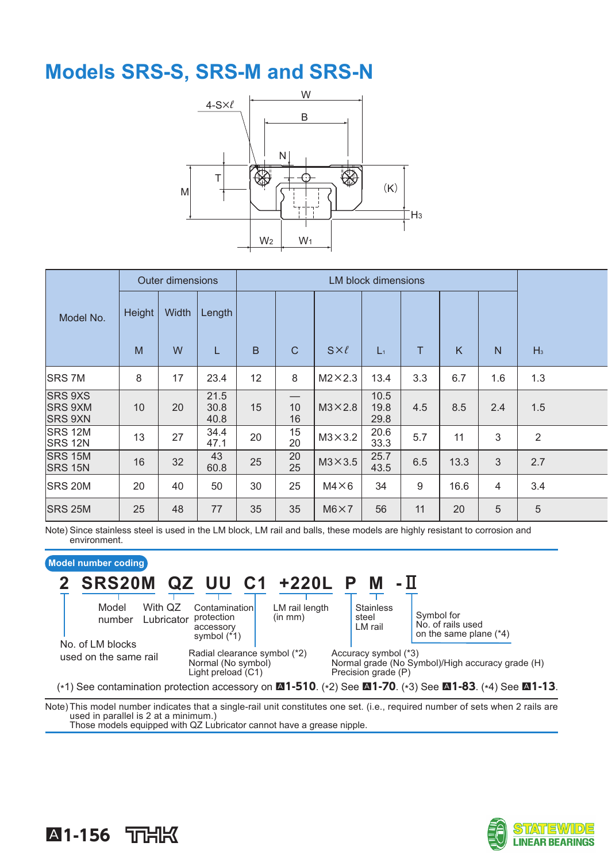# <span id="page-8-0"></span> **Models SRS-S, SRS-M and SRS-N**



|                                                    |        | <b>Outer dimensions</b> |                      |    |                 |                 | <b>LM block dimensions</b> |     |      |                |                |  |
|----------------------------------------------------|--------|-------------------------|----------------------|----|-----------------|-----------------|----------------------------|-----|------|----------------|----------------|--|
| Model No.                                          | Height | Width                   | Length               |    |                 |                 |                            |     |      |                |                |  |
|                                                    | M      | W                       | L                    | B  | $\mathsf{C}$    | $S \times \ell$ | $L_1$                      | T   | K    | N              | H <sub>3</sub> |  |
| <b>ISRS 7M</b>                                     | 8      | 17                      | 23.4                 | 12 | 8               | $M2 \times 2.3$ | 13.4                       | 3.3 | 6.7  | 1.6            | 1.3            |  |
| <b>SRS 9XS</b><br><b>SRS 9XM</b><br><b>SRS 9XN</b> | 10     | 20                      | 21.5<br>30.8<br>40.8 | 15 | 10<br>16        | $M3 \times 2.8$ | 10.5<br>19.8<br>29.8       | 4.5 | 8.5  | 2.4            | 1.5            |  |
| <b>ISRS 12M</b><br>SRS 12N                         | 13     | 27                      | 34.4<br>47.1         | 20 | 15<br>20        | $M3 \times 3.2$ | 20.6<br>33.3               | 5.7 | 11   | 3              | 2              |  |
| SRS 15M<br>SRS 15N                                 | 16     | 32                      | 43<br>60.8           | 25 | $\frac{20}{25}$ | $M3 \times 3.5$ | 25.7<br>43.5               | 6.5 | 13.3 | 3              | 2.7            |  |
| <b>ISRS 20M</b>                                    | 20     | 40                      | 50                   | 30 | 25              | $M4\times 6$    | 34                         | 9   | 16.6 | $\overline{4}$ | 3.4            |  |
| <b>SRS 25M</b>                                     | 25     | 48                      | 77                   | 35 | 35              | $M6\times7$     | 56                         | 11  | 20   | 5              | 5              |  |

Note) Since stainless steel is used in the LM block, LM rail and balls, these models are highly resistant to corrosion and environment.

| <b>2 SRS20M QZ UU C1 +220L P</b>                             |                                                                          |                           | м - Ш                                       |                                                           |
|--------------------------------------------------------------|--------------------------------------------------------------------------|---------------------------|---------------------------------------------|-----------------------------------------------------------|
| Model<br>With QZ<br>Lubricator<br>number<br>No. of LM blocks | Contamination<br>protection<br>accessory<br>symbol $(*1)$                | LM rail length<br>(in mm) | <b>Stainless</b><br>steel<br>LM rail        | Symbol for<br>No. of rails used<br>on the same plane (*4) |
| used on the same rail                                        | Radial clearance symbol (*2)<br>Normal (No symbol)<br>Light preload (C1) |                           | Accuracy symbol (*3)<br>Precision grade (P) | Normal grade (No Symbol)/High accuracy grade (H)          |

Note) This model number indicates that a single-rail unit constitutes one set. (i.e., required number of sets when 2 rails are used in parallel is 2 at a minimum.)

Those models equipped with QZ Lubricator cannot have a grease nipple.



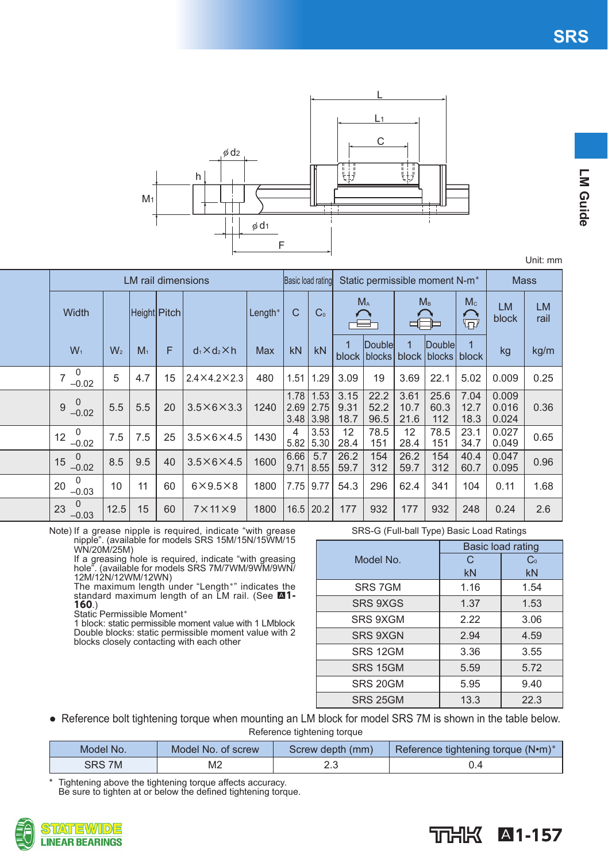LM Guide



Unit: mm

|                                          |                |                | <b>LM</b> rail dimensions |                           |            |                                | Basic load rating    |                      |                                      |                      | Static permissible moment N-m <sup>*</sup> | <b>Mass</b>                  |                         |                   |
|------------------------------------------|----------------|----------------|---------------------------|---------------------------|------------|--------------------------------|----------------------|----------------------|--------------------------------------|----------------------|--------------------------------------------|------------------------------|-------------------------|-------------------|
| Width                                    | Height Pitch   |                |                           |                           | Length*    | $\mathsf{C}$<br>C <sub>0</sub> |                      | $M_A$<br>ਢ           |                                      | Mr                   |                                            | $M_c$<br>⌒<br>$\overline{w}$ | <b>LM</b><br>block      | <b>LM</b><br>rail |
| $W_1$                                    | W <sub>2</sub> | M <sub>1</sub> | F                         | $d_1 \times d_2 \times h$ | <b>Max</b> | kN                             | kN                   |                      | Doublel<br>block blocks block blocks | 1                    | Double                                     | 1<br>block                   | kg                      | kg/m              |
| $\mathbf 0$<br>$\overline{7}$<br>$-0.02$ | 5              | 4.7            | 15                        | $2.4\times4.2\times2.3$   | 480        | 1.51                           | 1.29                 | 3.09                 | 19                                   | 3.69                 | 22.1                                       | 5.02                         | 0.009                   | 0.25              |
| $\mathbf{0}$<br>9<br>$-0.02$             | 5.5            | 5.5            | 20                        | $3.5\times 6\times 3.3$   | 1240       | 1.78<br>2.69<br>3.48           | 1.53<br>2.75<br>3.98 | 3.15<br>9.31<br>18.7 | 22.2<br>52.2<br>96.5                 | 3.61<br>10.7<br>21.6 | 25.6<br>60.3<br>112                        | 7.04<br>12.7<br>18.3         | 0.009<br>0.016<br>0.024 | 0.36              |
| $\Omega$<br>12<br>$-0.02$                | 7.5            | 7.5            | 25                        | $3.5\times 6\times 4.5$   | 1430       | 4<br>5.82                      | 3.53<br>5.30         | 12<br>28.4           | 78.5<br>151                          | 12<br>28.4           | 78.5<br>151                                | 23.1<br>34.7                 | 0.027<br>0.049          | 0.65              |
| $\Omega$<br>15<br>$-0.02$                | 8.5            | 9.5            | 40                        | $3.5\times 6\times 4.5$   | 1600       | 6.66<br>9.71                   | 5.7<br>8.55          | 26.2<br>59.7         | 154<br>312                           | 26.2<br>59.7         | 154<br>312                                 | 40.4<br>60.7                 | 0.047<br>0.095          | 0.96              |
| 0<br>20<br>$-0.03$                       | 10             | 11             | 60                        | $6\times9.5\times8$       | 1800       | 7.75                           | 9.77                 | 54.3                 | 296                                  | 62.4                 | 341                                        | 104                          | 0.11                    | 1.68              |
| $\mathbf{0}$<br>23<br>$-0.03$            | 12.5           | 15             | 60                        | $7 \times 11 \times 9$    | 1800       | 16.5                           | 20.2                 | 177                  | 932                                  | 177                  | 932                                        | 248                          | 0.24                    | 2.6               |

Note) If a grease nipple is required, indicate "with grease nipple". (available for models SRS 15M/15N/15WM/15 WN/20M/25M)

If a greasing hole is required, indicate "with greasing hole". (available for models SRS 7M/7WM/9WM/9WN/ 12M/12N/12WM/12WN)

The maximum length under "Length \*" indicates the standard maximum length of an LM rail. (See [A](#page-12-0)**1- [160](#page-12-0)** .)

Static Permissible Moment\*

 1 block: static permissible moment value with 1 LMblock Double blocks: static permissible moment value with 2 blocks closely contacting with each other <span id="page-9-0"></span>SRS-G (Full-ball Type) Basic Load Ratings

|                 |      | Basic load rating |
|-----------------|------|-------------------|
| Model No.       | C    | C <sub>0</sub>    |
|                 | kN   | kN                |
| SRS 7GM         | 1.16 | 1.54              |
| SRS 9XGS        | 1.37 | 1.53              |
| SRS 9XGM        | 2.22 | 3.06              |
| <b>SRS 9XGN</b> | 2.94 | 4.59              |
| SRS 12GM        | 3.36 | 3.55              |
| SRS 15GM        | 5.59 | 5.72              |
| SRS 20GM        | 5.95 | 9.40              |
| SRS 25GM        | 13.3 | 22.3              |

● Reference bolt tightening torque when mounting an LM block for model SRS 7M is shown in the table below. Reference tightening torque

| Model No. | Model No. of screw | Screw depth (mm) | Reference tightening torque (N•m)* |
|-----------|--------------------|------------------|------------------------------------|
| SRS 7M    | M2                 |                  |                                    |

\* Tightening above the tightening torque affects accuracy. Be sure to tighten at or below the defi ned tightening torque.



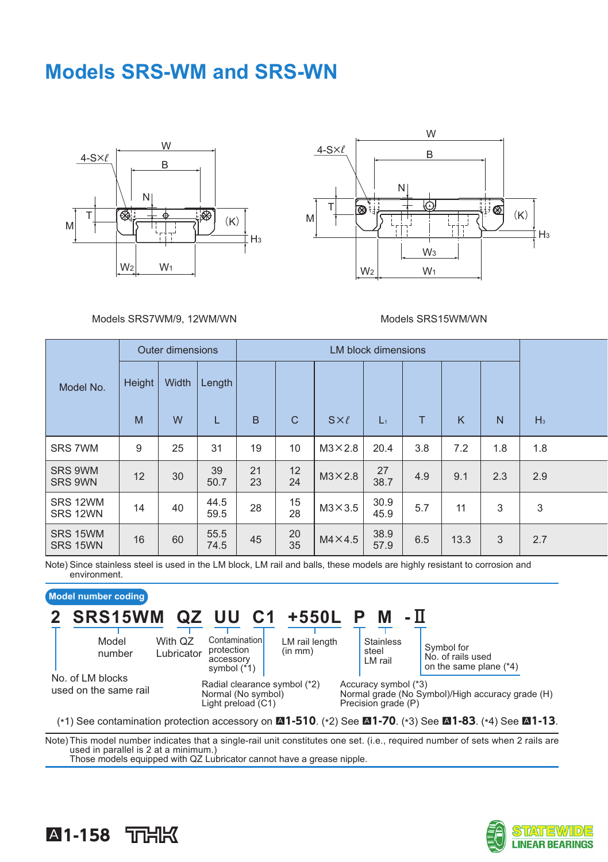# <span id="page-10-0"></span> **Models SRS-WM and SRS-WN**





#### Models SRS7WM/9, 12WM/WN Models SRS15WM/WN

|                      |        | <b>Outer dimensions</b> |              |          |              |                 | <b>LM block dimensions</b> |     |      |     |       |
|----------------------|--------|-------------------------|--------------|----------|--------------|-----------------|----------------------------|-----|------|-----|-------|
| Model No.            | Height | Width                   | Length       |          |              |                 |                            |     |      |     |       |
|                      | M      | W                       | L            | B        | $\mathsf{C}$ | $S\times\ell$   | L1                         | T   | K    | N   | $H_3$ |
| SRS 7WM              | 9      | 25                      | 31           | 19       | 10           | $M3\times2.8$   | 20.4                       | 3.8 | 7.2  | 1.8 | 1.8   |
| SRS 9WM<br>SRS 9WN   | 12     | 30                      | 39<br>50.7   | 21<br>23 | 12<br>24     | $M3\times2.8$   | 27<br>38.7                 | 4.9 | 9.1  | 2.3 | 2.9   |
| SRS 12WM<br>SRS 12WN | 14     | 40                      | 44.5<br>59.5 | 28       | 15<br>28     | $M3 \times 3.5$ | 30.9<br>45.9               | 5.7 | 11   | 3   | 3     |
| SRS 15WM<br>SRS 15WN | 16     | 60                      | 55.5<br>74.5 | 45       | 20<br>35     | $M4 \times 4.5$ | 38.9<br>57.9               | 6.5 | 13.3 | 3   | 2.7   |

Note) Since stainless steel is used in the LM block, LM rail and balls, these models are highly resistant to corrosion and environment.

#### **Model number coding**



number

No. of LM blocks used on the same rail Lubricator protection accessory symbol (\*1)

Radial clearance symbol (\*2) Normal (No symbol) Light preload (C1)

(in mm) steel LM rail

Symbol for

No. of rails used on the same plane (\*4)

Accuracy symbol (\*3) Normal grade (No Symbol)/High accuracy grade (H) Precision grade (P)

(\*1) See contamination protection accessory on **A1-510**. (\*2) See **A1-70**. (\*3) See **A1-83** . (\*4) See **A1-13**.

Note) This model number indicates that a single-rail unit constitutes one set. (i.e., required number of sets when 2 rails are used in parallel is 2 at a minimum.)

Those models equipped with QZ Lubricator cannot have a grease nipple.



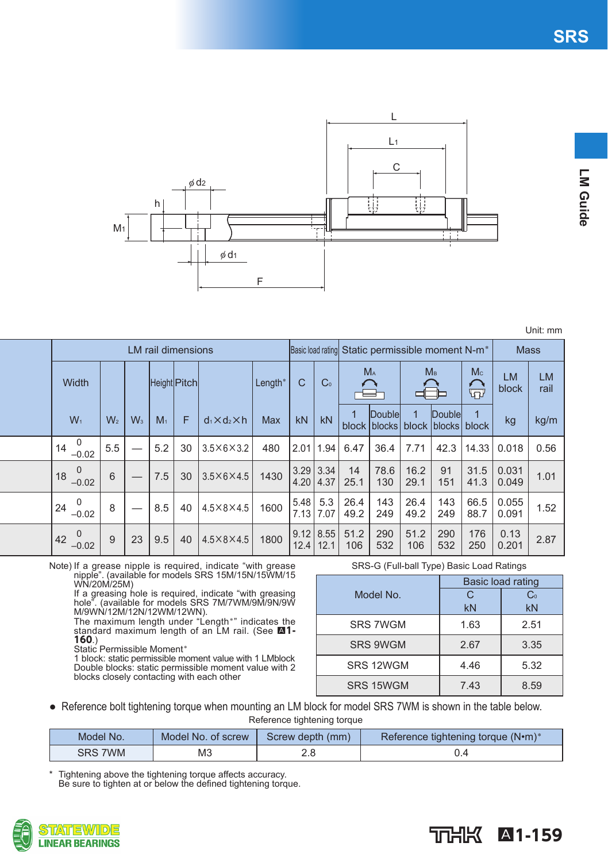**LM Guide** 



|                                 |                |       | <b>LM</b> rail dimensions |    |                           |            |                                |                |                     |             |              | Basic load rating Static permissible moment N-m <sup>*</sup> |              | <b>Mass</b>        |                   |
|---------------------------------|----------------|-------|---------------------------|----|---------------------------|------------|--------------------------------|----------------|---------------------|-------------|--------------|--------------------------------------------------------------|--------------|--------------------|-------------------|
| Width                           |                |       | Height Pitch              |    |                           | Length*    | C                              | C <sub>0</sub> | M <sub>A</sub><br>_ |             |              | M <sub>B</sub>                                               | Mc<br>☆      | <b>LM</b><br>block | <b>LM</b><br>rail |
| $W_1$                           | W <sub>2</sub> | $W_3$ | M <sub>1</sub>            | F  | $d_1 \times d_2 \times h$ | <b>Max</b> | kN                             | kN             |                     | Double      | 1            | Doublel<br>block blocks block blocks block                   |              | kg                 | kg/m              |
| 0<br>14<br>$-0.02$              | 5.5            |       | 5.2                       | 30 | $3.5\times 6\times 3.2$   | 480        | 2.01 1.94                      |                | 6.47                | 36.4        | 7.71         | 42.3                                                         | 14.33        | 0.018              | 0.56              |
| $\overline{0}$<br>18<br>$-0.02$ | 6              |       | 7.5                       | 30 | $3.5\times 6\times 4.5$   | 1430       | $3.29$ 3.34<br>$4.20$   $4.37$ |                | 14<br>25.1          | 78.6<br>130 | 16.2<br>29.1 | 91<br>151                                                    | 31.5<br>41.3 | 0.031<br>0.049     | 1.01              |
| 0<br>24<br>$-0.02$              | 8              |       | 8.5                       | 40 | $4.5\times8\times4.5$     | 1600       | 5.48<br>7.13 7.07              | 5.3            | 26.4<br>49.2        | 143<br>249  | 26.4<br>49.2 | 143<br>249                                                   | 66.5<br>88.7 | 0.055<br>0.091     | 1.52              |
| $\Omega$<br>42<br>$-0.02$       | 9              | 23    | 9.5                       | 40 | $4.5\times8\times4.5$     | 1800       | $9.12$ 8.55<br>$12.4$   12.1   |                | 51.2<br>106         | 290<br>532  | 51.2<br>106  | 290<br>532                                                   | 176<br>250   | 0.13<br>0.201      | 2.87              |

Note) If a grease nipple is required, indicate "with grease nipple". (available for models SRS 15M/15N/15WM/15 WN/20M/25M)

If a greasing hole is required, indicate "with greasing hole". (available for models SRS 7M/7WM/9M/9N/9W

M/9WN/12M/12N/12WM/12WN). The maximum length under "Length \*" indicates the standard maximum length of an LM rail. (See [A](#page-12-0)**1- [160](#page-12-0)** .)

Static Permissible Moment\*

 1 block: static permissible moment value with 1 LMblock Double blocks: static permissible moment value with 2 blocks closely contacting with each other <span id="page-11-0"></span>SRS-G (Full-ball Type) Basic Load Ratings

|                 | Basic load rating |                |  |  |
|-----------------|-------------------|----------------|--|--|
| Model No.       | $\cap$            | C <sub>0</sub> |  |  |
|                 | kN                | kN             |  |  |
| <b>SRS 7WGM</b> | 1.63              | 2.51           |  |  |
| <b>SRS 9WGM</b> | 2.67              | 3.35           |  |  |
| SRS 12WGM       | 4.46              | 5.32           |  |  |
| SRS 15WGM       | 7.43              | 8.59           |  |  |

● Reference bolt tightening torque when mounting an LM block for model SRS 7WM is shown in the table below.

Reference tightening torque

| Model No. | Model No. of screw | Screw depth (mm) | Reference tightening torque (N•m)* |
|-----------|--------------------|------------------|------------------------------------|
| SRS 7WM   | M3                 |                  |                                    |

\* Tightening above the tightening torque affects accuracy. Be sure to tighten at or below the defined tightening torque.



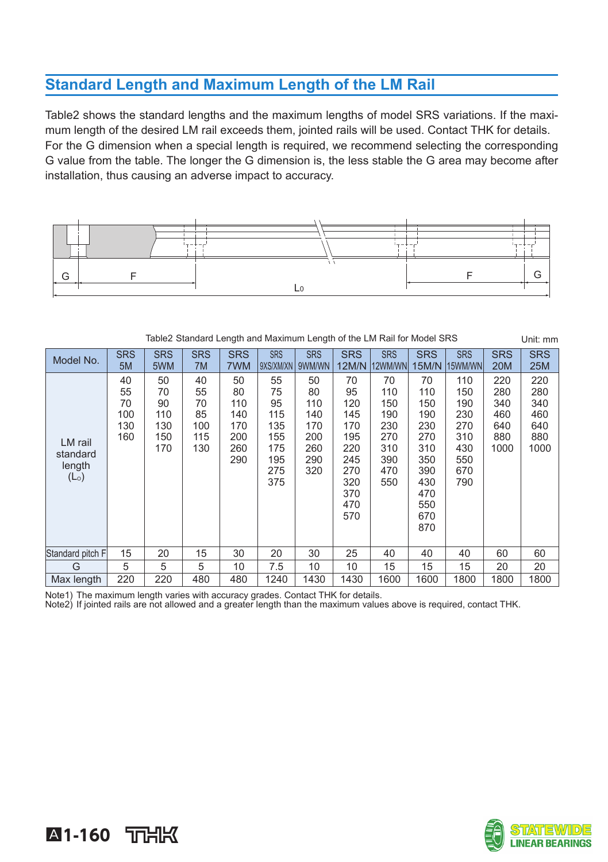# **Standard Length and Maximum Length of the LM Rail**

Table2 shows the standard lengths and the maximum lengths of model SRS variations. If the maximum length of the desired LM rail exceeds them, jointed rails will be used. Contact THK for details. For the G dimension when a special length is required, we recommend selecting the corresponding G value from the table. The longer the G dimension is, the less stable the G area may become after installation, thus causing an adverse impact to accuracy.



<span id="page-12-0"></span>Table2 Standard Length and Maximum Length of the LM Rail for Model SRS [1] Unit: mm

| Model No.                                          | <b>SRS</b><br>5M                    | <b>SRS</b><br>5WM                          | <b>SRS</b><br>7M                          | <b>SRS</b><br>7WM                                  | <b>SRS</b><br>9XS/XM/XN                                         | <b>SRS</b><br>9WM/WN                                      | <b>SRS</b><br><b>12M/N</b>                                                            | <b>SRS</b><br>12WM/WN                                             | <b>SRS</b><br><b>15M/N</b>                                                                    | <b>SRS</b><br>15WM/WN                                              | <b>SRS</b><br><b>20M</b>                       | <b>SRS</b><br>25M                              |
|----------------------------------------------------|-------------------------------------|--------------------------------------------|-------------------------------------------|----------------------------------------------------|-----------------------------------------------------------------|-----------------------------------------------------------|---------------------------------------------------------------------------------------|-------------------------------------------------------------------|-----------------------------------------------------------------------------------------------|--------------------------------------------------------------------|------------------------------------------------|------------------------------------------------|
| LM rail<br>standard<br>length<br>(L <sub>o</sub> ) | 40<br>55<br>70<br>100<br>130<br>160 | 50<br>70<br>90<br>110<br>130<br>150<br>170 | 40<br>55<br>70<br>85<br>100<br>115<br>130 | 50<br>80<br>110<br>140<br>170<br>200<br>260<br>290 | 55<br>75<br>95<br>115<br>135<br>155<br>175<br>195<br>275<br>375 | 50<br>80<br>110<br>140<br>170<br>200<br>260<br>290<br>320 | 70<br>95<br>120<br>145<br>170<br>195<br>220<br>245<br>270<br>320<br>370<br>470<br>570 | 70<br>110<br>150<br>190<br>230<br>270<br>310<br>390<br>470<br>550 | 70<br>110<br>150<br>190<br>230<br>270<br>310<br>350<br>390<br>430<br>470<br>550<br>670<br>870 | 110<br>150<br>190<br>230<br>270<br>310<br>430<br>550<br>670<br>790 | 220<br>280<br>340<br>460<br>640<br>880<br>1000 | 220<br>280<br>340<br>460<br>640<br>880<br>1000 |
| Standard pitch F                                   | 15                                  | 20                                         | 15                                        | 30                                                 | 20                                                              | 30                                                        | 25                                                                                    | 40                                                                | 40                                                                                            | 40                                                                 | 60                                             | 60                                             |
| G                                                  | 5                                   | 5                                          | 5                                         | 10                                                 | 7.5                                                             | 10                                                        | 10                                                                                    | 15                                                                | 15                                                                                            | 15                                                                 | 20                                             | 20                                             |
| Max length                                         | 220                                 | 220                                        | 480                                       | 480                                                | 1240                                                            | 1430                                                      | 1430                                                                                  | 1600                                                              | 1600                                                                                          | 1800                                                               | 1800                                           | 1800                                           |

Note1) The maximum length varies with accuracy grades. Contact THK for details.

A**1-160**

Note2) If jointed rails are not allowed and a greater length than the maximum values above is required, contact THK.